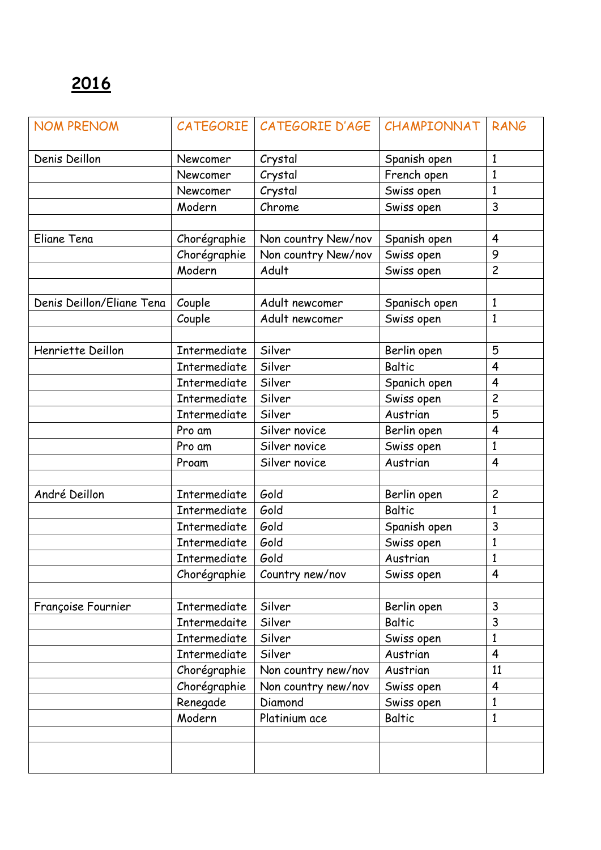| <b>NOM PRENOM</b>         |                     | CATEGORIE   CATEGORIE D'AGE | CHAMPIONNAT   | <b>RANG</b>             |
|---------------------------|---------------------|-----------------------------|---------------|-------------------------|
| Denis Deillon             | Newcomer            | Crystal                     | Spanish open  | $\mathbf{1}$            |
|                           | Newcomer            | Crystal                     | French open   | $\mathbf{1}$            |
|                           | Newcomer            | Crystal                     | Swiss open    | $\mathbf{1}$            |
|                           | Modern              | Chrome                      | Swiss open    | 3                       |
|                           |                     |                             |               |                         |
| Eliane Tena               | Chorégraphie        | Non country New/nov         | Spanish open  | $\overline{4}$          |
|                           | Chorégraphie        | Non country New/nov         | Swiss open    | 9                       |
|                           | Modern              | Adult                       | Swiss open    | $\overline{c}$          |
|                           |                     |                             |               |                         |
| Denis Deillon/Eliane Tena | Couple              | Adult newcomer              | Spanisch open | $\mathbf{1}$            |
|                           | Couple              | Adult newcomer              | Swiss open    | $\mathbf{1}$            |
|                           |                     |                             |               |                         |
| Henriette Deillon         | Intermediate        | Silver                      | Berlin open   | 5                       |
|                           | Intermediate        | Silver                      | <b>Baltic</b> | $\overline{4}$          |
|                           | Intermediate        | Silver                      | Spanich open  | $\overline{4}$          |
|                           | <b>Intermediate</b> | Silver                      | Swiss open    | $\overline{c}$          |
|                           | Intermediate        | Silver                      | Austrian      | 5                       |
|                           | Pro am              | Silver novice               | Berlin open   | $\overline{\mathbf{4}}$ |
|                           | Pro am              | Silver novice               | Swiss open    | $\mathbf{1}$            |
|                           | Proam               | Silver novice               | Austrian      | $\overline{4}$          |
|                           |                     |                             |               |                         |
| André Deillon             | Intermediate        | Gold                        | Berlin open   | $\overline{c}$          |
|                           | Intermediate        | Gold                        | <b>Baltic</b> | $\mathbf{1}$            |
|                           | Intermediate        | Gold                        | Spanish open  | 3                       |
|                           | <b>Intermediate</b> | Gold                        | Swiss open    | $\mathbf{1}$            |
|                           | Intermediate        | Gold                        | Austrian      | $\mathbf{1}$            |
|                           | Chorégraphie        | Country new/nov             | Swiss open    | 4                       |
|                           |                     |                             |               |                         |
| Françoise Fournier        | Intermediate        | Silver                      | Berlin open   | 3                       |
|                           | Intermedaite        | Silver                      | <b>Baltic</b> | 3                       |
|                           | Intermediate        | Silver                      | Swiss open    | $\mathbf{1}$            |
|                           | <b>Intermediate</b> | Silver                      | Austrian      | $\overline{4}$          |
|                           | Chorégraphie        | Non country new/nov         | Austrian      | 11                      |
|                           | Chorégraphie        | Non country new/nov         | Swiss open    | $\overline{4}$          |
|                           | Renegade            | Diamond                     | Swiss open    | $\mathbf{1}$            |
|                           | Modern              | Platinium ace               | <b>Baltic</b> | 1                       |
|                           |                     |                             |               |                         |
|                           |                     |                             |               |                         |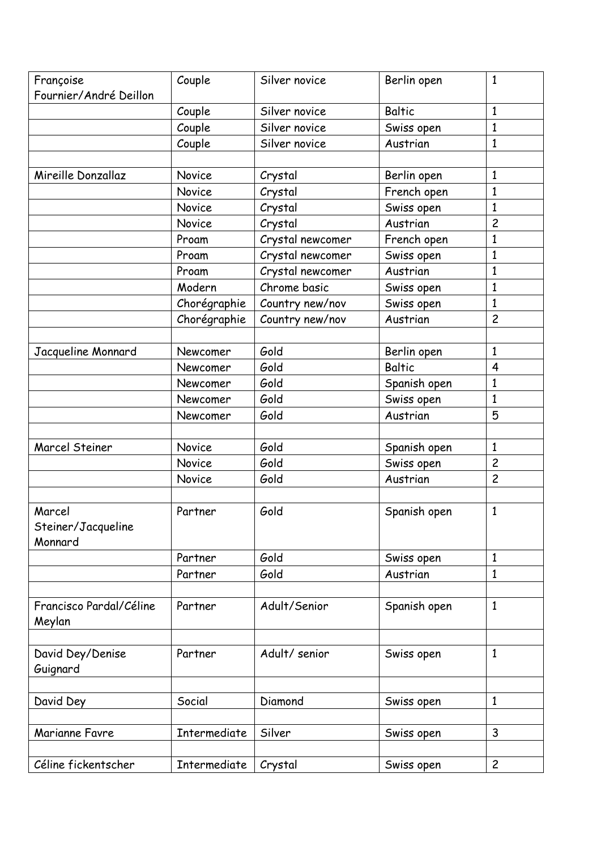| Françoise<br>Fournier/André Deillon | Couple       | Silver novice    | Berlin open   | $\mathbf{1}$   |
|-------------------------------------|--------------|------------------|---------------|----------------|
|                                     | Couple       | Silver novice    | <b>Baltic</b> | $\mathbf{1}$   |
|                                     | Couple       | Silver novice    | Swiss open    | 1              |
|                                     | Couple       | Silver novice    | Austrian      | $\mathbf{1}$   |
|                                     |              |                  |               |                |
| Mireille Donzallaz                  | Novice       | Crystal          | Berlin open   | $\mathbf{1}$   |
|                                     | Novice       | Crystal          | French open   | $\mathbf{1}$   |
|                                     | Novice       | Crystal          | Swiss open    | $\mathbf{1}$   |
|                                     | Novice       | Crystal          | Austrian      | $\overline{c}$ |
|                                     | Proam        | Crystal newcomer | French open   | $\mathbf{1}$   |
|                                     | Proam        | Crystal newcomer | Swiss open    | $\mathbf{1}$   |
|                                     | Proam        | Crystal newcomer | Austrian      | 1              |
|                                     | Modern       | Chrome basic     | Swiss open    | $\mathbf{1}$   |
|                                     | Chorégraphie | Country new/nov  | Swiss open    | $\mathbf{1}$   |
|                                     | Chorégraphie | Country new/nov  | Austrian      | $\overline{c}$ |
|                                     |              |                  |               |                |
| Jacqueline Monnard                  | Newcomer     | Gold             | Berlin open   | $\mathbf{1}$   |
|                                     | Newcomer     | Gold             | <b>Baltic</b> | $\overline{4}$ |
|                                     | Newcomer     | Gold             | Spanish open  | $\mathbf{1}$   |
|                                     | Newcomer     | Gold             | Swiss open    | $\mathbf{1}$   |
|                                     | Newcomer     | Gold             | Austrian      | 5              |
|                                     |              |                  |               |                |
| <b>Marcel Steiner</b>               | Novice       | Gold             | Spanish open  | $\mathbf{1}$   |
|                                     | Novice       | Gold             | Swiss open    | $\overline{c}$ |
|                                     | Novice       | Gold             | Austrian      | $\overline{c}$ |
|                                     |              |                  |               |                |
| Marcel                              | Partner      | Gold             | Spanish open  | $\mathbf{1}$   |
| Steiner/Jacqueline                  |              |                  |               |                |
| Monnard                             |              |                  |               |                |
|                                     | Partner      | Gold             | Swiss open    | $\mathbf{1}$   |
|                                     | Partner      | Gold             | Austrian      | 1              |
|                                     |              |                  |               |                |
| Francisco Pardal/Céline             | Partner      | Adult/Senior     | Spanish open  | $\mathbf{1}$   |
| Meylan                              |              |                  |               |                |
|                                     | Partner      | Adult/senior     |               | $\mathbf{1}$   |
| David Dey/Denise                    |              |                  | Swiss open    |                |
| Guignard                            |              |                  |               |                |
| David Dey                           | Social       | Diamond          | Swiss open    | $\mathbf{1}$   |
|                                     |              |                  |               |                |
| Marianne Favre                      | Intermediate | Silver           | Swiss open    | 3              |
|                                     |              |                  |               |                |
| Céline fickentscher                 | Intermediate | Crystal          | Swiss open    | $\overline{c}$ |
|                                     |              |                  |               |                |